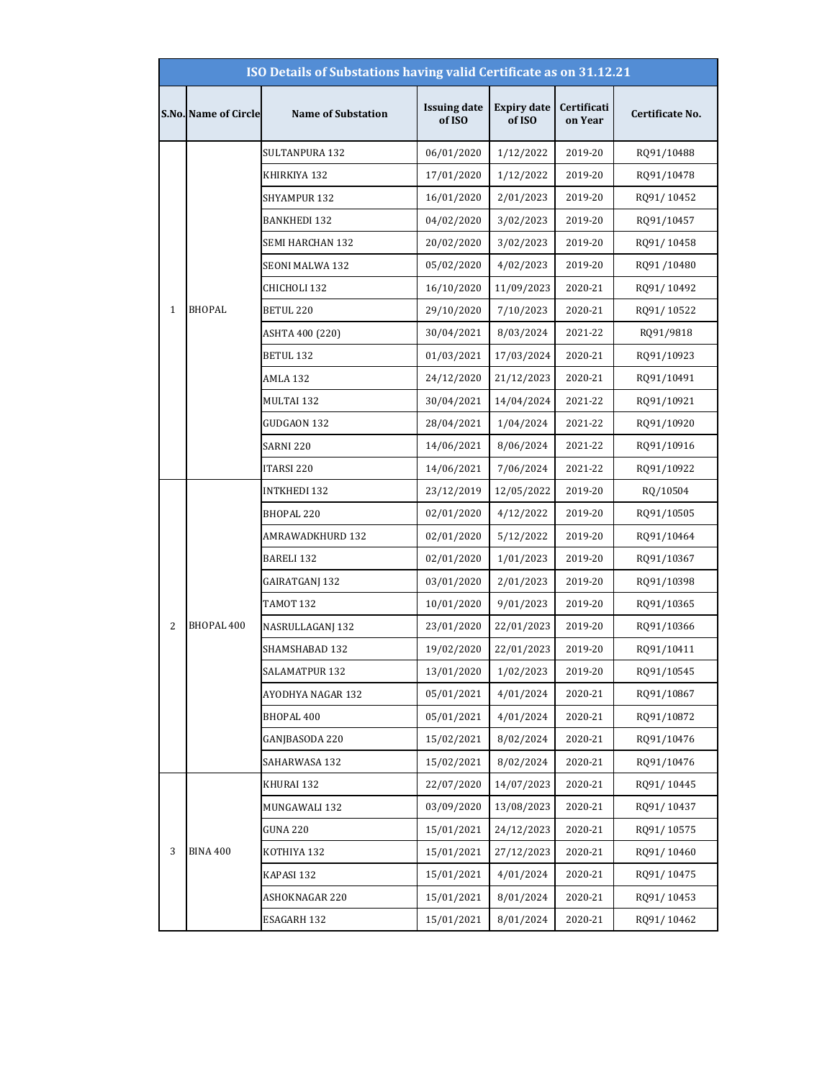|              | ISO Details of Substations having valid Certificate as on 31.12.21 |                           |                               |                              |                        |                 |  |  |
|--------------|--------------------------------------------------------------------|---------------------------|-------------------------------|------------------------------|------------------------|-----------------|--|--|
|              | S.No. Name of Circle                                               | <b>Name of Substation</b> | <b>Issuing date</b><br>of ISO | <b>Expiry date</b><br>of ISO | Certificati<br>on Year | Certificate No. |  |  |
|              |                                                                    | SULTANPURA 132            | 06/01/2020                    | 1/12/2022                    | 2019-20                | RQ91/10488      |  |  |
|              |                                                                    | KHIRKIYA 132              | 17/01/2020                    | 1/12/2022                    | 2019-20                | RQ91/10478      |  |  |
|              |                                                                    | SHYAMPUR 132              | 16/01/2020                    | 2/01/2023                    | 2019-20                | RQ91/10452      |  |  |
|              |                                                                    | <b>BANKHEDI 132</b>       | 04/02/2020                    | 3/02/2023                    | 2019-20                | RQ91/10457      |  |  |
|              |                                                                    | SEMI HARCHAN 132          | 20/02/2020                    | 3/02/2023                    | 2019-20                | RQ91/10458      |  |  |
|              |                                                                    | SEONI MALWA 132           | 05/02/2020                    | 4/02/2023                    | 2019-20                | RQ91/10480      |  |  |
|              |                                                                    | CHICHOLI 132              | 16/10/2020                    | 11/09/2023                   | 2020-21                | RQ91/10492      |  |  |
| $\mathbf{1}$ | <b>BHOPAL</b>                                                      | BETUL 220                 | 29/10/2020                    | 7/10/2023                    | 2020-21                | RQ91/10522      |  |  |
|              |                                                                    | ASHTA 400 (220)           | 30/04/2021                    | 8/03/2024                    | 2021-22                | RQ91/9818       |  |  |
|              |                                                                    | BETUL 132                 | 01/03/2021                    | 17/03/2024                   | 2020-21                | RQ91/10923      |  |  |
|              |                                                                    | AMLA 132                  | 24/12/2020                    | 21/12/2023                   | 2020-21                | RQ91/10491      |  |  |
|              |                                                                    | MULTAI 132                | 30/04/2021                    | 14/04/2024                   | 2021-22                | RQ91/10921      |  |  |
|              |                                                                    | GUDGAON 132               | 28/04/2021                    | 1/04/2024                    | 2021-22                | RQ91/10920      |  |  |
|              |                                                                    | SARNI 220                 | 14/06/2021                    | 8/06/2024                    | 2021-22                | RQ91/10916      |  |  |
|              |                                                                    | ITARSI 220                | 14/06/2021                    | 7/06/2024                    | 2021-22                | RQ91/10922      |  |  |
|              |                                                                    | <b>INTKHEDI 132</b>       | 23/12/2019                    | 12/05/2022                   | 2019-20                | RQ/10504        |  |  |
|              |                                                                    | BHOPAL 220                | 02/01/2020                    | 4/12/2022                    | 2019-20                | RQ91/10505      |  |  |
|              |                                                                    | AMRAWADKHURD 132          | 02/01/2020                    | 5/12/2022                    | 2019-20                | RQ91/10464      |  |  |
|              |                                                                    | BARELI 132                | 02/01/2020                    | 1/01/2023                    | 2019-20                | RQ91/10367      |  |  |
|              |                                                                    | GAIRATGANJ 132            | 03/01/2020                    | 2/01/2023                    | 2019-20                | RQ91/10398      |  |  |
|              |                                                                    | TAMOT 132                 | 10/01/2020                    | 9/01/2023                    | 2019-20                | RQ91/10365      |  |  |
| 2            | <b>BHOPAL 400</b>                                                  | NASRULLAGANJ 132          | 23/01/2020                    | 22/01/2023                   | 2019-20                | RQ91/10366      |  |  |
|              |                                                                    | SHAMSHABAD 132            | 19/02/2020                    | 22/01/2023                   | 2019-20                | RQ91/10411      |  |  |
|              |                                                                    | SALAMATPUR 132            | 13/01/2020                    | 1/02/2023                    | 2019-20                | RQ91/10545      |  |  |
|              |                                                                    | AYODHYA NAGAR 132         | 05/01/2021                    | 4/01/2024                    | 2020-21                | RQ91/10867      |  |  |
|              |                                                                    | BHOPAL 400                | 05/01/2021                    | 4/01/2024                    | 2020-21                | RQ91/10872      |  |  |
|              |                                                                    | GANJBASODA 220            | 15/02/2021                    | 8/02/2024                    | 2020-21                | RQ91/10476      |  |  |
|              |                                                                    | SAHARWASA 132             | 15/02/2021                    | 8/02/2024                    | 2020-21                | RQ91/10476      |  |  |
|              |                                                                    | KHURAI 132                | 22/07/2020                    | 14/07/2023                   | 2020-21                | RQ91/10445      |  |  |
|              |                                                                    | MUNGAWALI 132             | 03/09/2020                    | 13/08/2023                   | 2020-21                | RQ91/10437      |  |  |
|              |                                                                    | GUNA 220                  | 15/01/2021                    | 24/12/2023                   | 2020-21                | RQ91/10575      |  |  |
| 3            | <b>BINA 400</b>                                                    | KOTHIYA 132               | 15/01/2021                    | 27/12/2023                   | 2020-21                | RQ91/10460      |  |  |
|              |                                                                    | KAPASI 132                | 15/01/2021                    | 4/01/2024                    | 2020-21                | RQ91/10475      |  |  |
|              |                                                                    | ASHOKNAGAR 220            | 15/01/2021                    | 8/01/2024                    | 2020-21                | RQ91/10453      |  |  |
|              |                                                                    | ESAGARH 132               | 15/01/2021                    | 8/01/2024                    | 2020-21                | RQ91/10462      |  |  |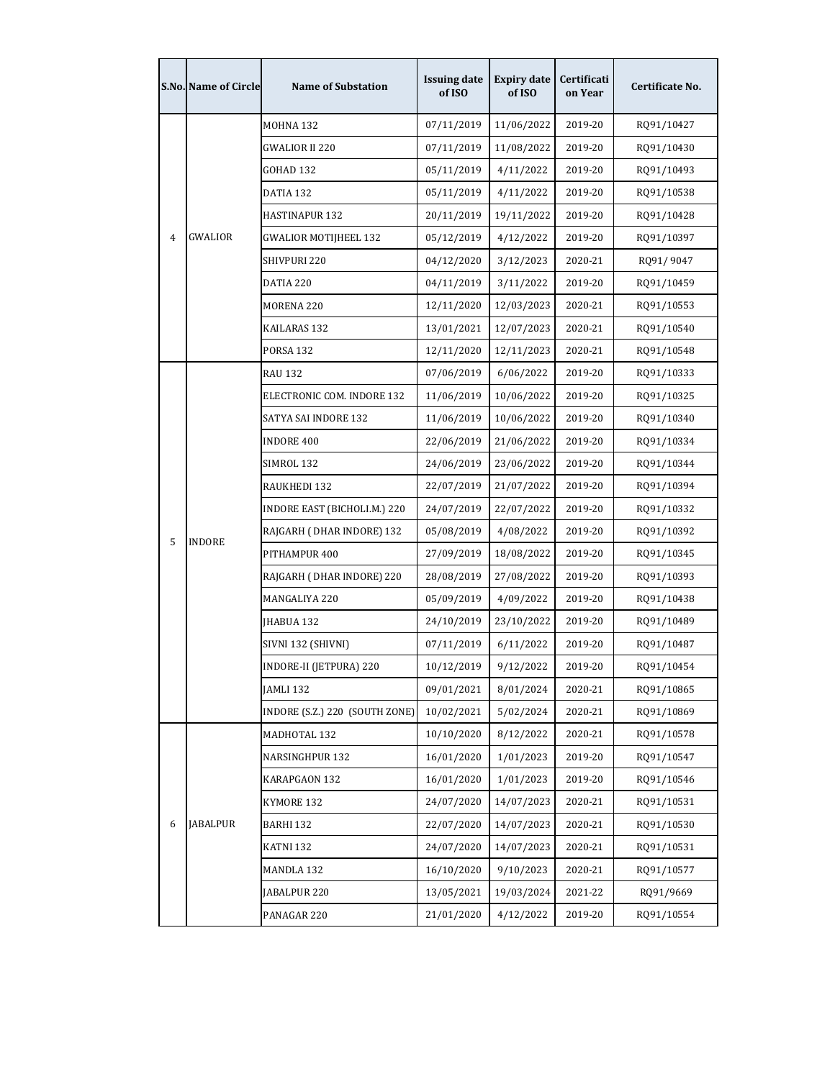|                | <b>S.No. Name of Circle</b> | <b>Name of Substation</b>      | <b>Issuing date</b><br>of ISO | <b>Expiry date</b><br>of ISO | Certificati<br>on Year | Certificate No. |
|----------------|-----------------------------|--------------------------------|-------------------------------|------------------------------|------------------------|-----------------|
|                |                             | MOHNA 132                      | 07/11/2019                    | 11/06/2022                   | 2019-20                | RQ91/10427      |
|                |                             | GWALIOR II 220                 | 07/11/2019                    | 11/08/2022                   | 2019-20                | RQ91/10430      |
|                |                             | GOHAD 132                      | 05/11/2019                    | 4/11/2022                    | 2019-20                | RQ91/10493      |
|                |                             | DATIA 132                      | 05/11/2019                    | 4/11/2022                    | 2019-20                | RQ91/10538      |
|                |                             | HASTINAPUR 132                 | 20/11/2019                    | 19/11/2022                   | 2019-20                | RQ91/10428      |
| $\overline{4}$ | <b>GWALIOR</b>              | <b>GWALIOR MOTIJHEEL 132</b>   | 05/12/2019                    | 4/12/2022                    | 2019-20                | RQ91/10397      |
|                |                             | SHIVPURI 220                   | 04/12/2020                    | 3/12/2023                    | 2020-21                | RQ91/9047       |
|                |                             | DATIA 220                      | 04/11/2019                    | 3/11/2022                    | 2019-20                | RQ91/10459      |
|                |                             | MORENA 220                     | 12/11/2020                    | 12/03/2023                   | 2020-21                | RQ91/10553      |
|                |                             | KAILARAS 132                   | 13/01/2021                    | 12/07/2023                   | 2020-21                | RQ91/10540      |
|                |                             | <b>PORSA 132</b>               | 12/11/2020                    | 12/11/2023                   | 2020-21                | RQ91/10548      |
|                |                             | <b>RAU 132</b>                 | 07/06/2019                    | 6/06/2022                    | 2019-20                | RQ91/10333      |
|                |                             | ELECTRONIC COM. INDORE 132     | 11/06/2019                    | 10/06/2022                   | 2019-20                | RQ91/10325      |
|                |                             | SATYA SAI INDORE 132           | 11/06/2019                    | 10/06/2022                   | 2019-20                | RQ91/10340      |
|                |                             | <b>INDORE 400</b>              | 22/06/2019                    | 21/06/2022                   | 2019-20                | RQ91/10334      |
|                |                             | SIMROL 132                     | 24/06/2019                    | 23/06/2022                   | 2019-20                | RQ91/10344      |
|                |                             | RAUKHEDI 132                   | 22/07/2019                    | 21/07/2022                   | 2019-20                | RQ91/10394      |
|                |                             | INDORE EAST (BICHOLI.M.) 220   | 24/07/2019                    | 22/07/2022                   | 2019-20                | RQ91/10332      |
| 5              | <b>INDORE</b>               | RAJGARH (DHAR INDORE) 132      | 05/08/2019                    | 4/08/2022                    | 2019-20                | RQ91/10392      |
|                |                             | PITHAMPUR 400                  | 27/09/2019                    | 18/08/2022                   | 2019-20                | RQ91/10345      |
|                |                             | RAJGARH (DHAR INDORE) 220      | 28/08/2019                    | 27/08/2022                   | 2019-20                | RQ91/10393      |
|                |                             | MANGALIYA 220                  | 05/09/2019                    | 4/09/2022                    | 2019-20                | RQ91/10438      |
|                |                             | JHABUA 132                     | 24/10/2019                    | 23/10/2022                   | 2019-20                | RQ91/10489      |
|                |                             | SIVNI 132 (SHIVNI)             | 07/11/2019                    | 6/11/2022                    | 2019-20                | RQ91/10487      |
|                |                             | INDORE-II (JETPURA) 220        | 10/12/2019                    | 9/12/2022                    | 2019-20                | RQ91/10454      |
|                |                             | JAMLI 132                      | 09/01/2021                    | 8/01/2024                    | 2020-21                | RQ91/10865      |
|                |                             | INDORE (S.Z.) 220 (SOUTH ZONE) | 10/02/2021                    | 5/02/2024                    | 2020-21                | RQ91/10869      |
|                |                             | MADHOTAL 132                   | 10/10/2020                    | 8/12/2022                    | 2020-21                | RQ91/10578      |
|                |                             | NARSINGHPUR 132                | 16/01/2020                    | 1/01/2023                    | 2019-20                | RQ91/10547      |
|                |                             | KARAPGAON 132                  | 16/01/2020                    | 1/01/2023                    | 2019-20                | RQ91/10546      |
|                |                             | KYMORE 132                     | 24/07/2020                    | 14/07/2023                   | 2020-21                | RQ91/10531      |
| 6              | <b>JABALPUR</b>             | BARHI 132                      | 22/07/2020                    | 14/07/2023                   | 2020-21                | RQ91/10530      |
|                |                             | KATNI 132                      | 24/07/2020                    | 14/07/2023                   | 2020-21                | RQ91/10531      |
|                |                             | MANDLA 132                     | 16/10/2020                    | 9/10/2023                    | 2020-21                | RQ91/10577      |
|                |                             | JABALPUR 220                   | 13/05/2021                    | 19/03/2024                   | 2021-22                | RQ91/9669       |
|                |                             | PANAGAR 220                    | 21/01/2020                    | 4/12/2022                    | 2019-20                | RQ91/10554      |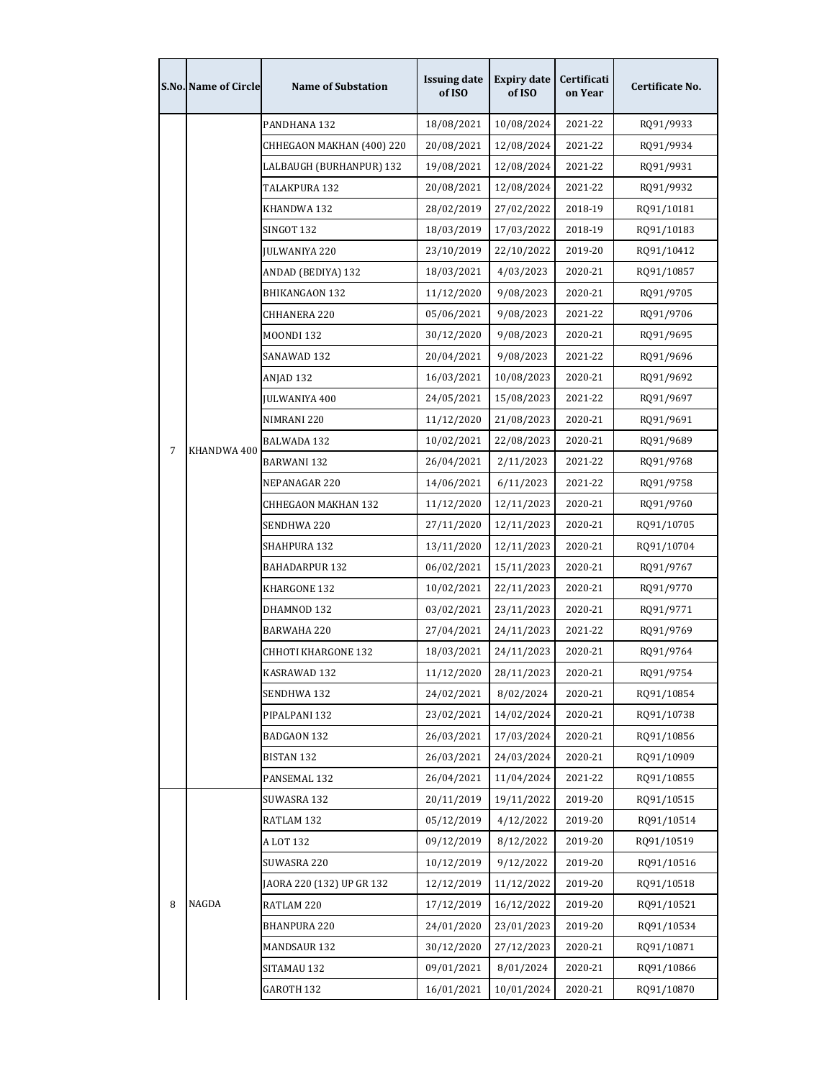|   | <b>S.No. Name of Circle</b> | <b>Name of Substation</b> | <b>Issuing date</b><br>of ISO | <b>Expiry date</b><br>of ISO | Certificati<br>on Year | Certificate No. |
|---|-----------------------------|---------------------------|-------------------------------|------------------------------|------------------------|-----------------|
|   |                             | PANDHANA 132              | 18/08/2021                    | 10/08/2024                   | 2021-22                | RQ91/9933       |
|   |                             | CHHEGAON MAKHAN (400) 220 | 20/08/2021                    | 12/08/2024                   | 2021-22                | RQ91/9934       |
|   |                             | LALBAUGH (BURHANPUR) 132  | 19/08/2021                    | 12/08/2024                   | 2021-22                | RQ91/9931       |
|   |                             | TALAKPURA 132             | 20/08/2021                    | 12/08/2024                   | 2021-22                | RQ91/9932       |
|   |                             | KHANDWA 132               | 28/02/2019                    | 27/02/2022                   | 2018-19                | RQ91/10181      |
|   |                             | SINGOT 132                | 18/03/2019                    | 17/03/2022                   | 2018-19                | RQ91/10183      |
|   |                             | <b>JULWANIYA 220</b>      | 23/10/2019                    | 22/10/2022                   | 2019-20                | RQ91/10412      |
|   |                             | ANDAD (BEDIYA) 132        | 18/03/2021                    | 4/03/2023                    | 2020-21                | RQ91/10857      |
|   |                             | BHIKANGAON 132            | 11/12/2020                    | 9/08/2023                    | 2020-21                | RQ91/9705       |
|   |                             | CHHANERA 220              | 05/06/2021                    | 9/08/2023                    | 2021-22                | RQ91/9706       |
|   |                             | <b>MOONDI 132</b>         | 30/12/2020                    | 9/08/2023                    | 2020-21                | RQ91/9695       |
|   |                             | SANAWAD 132               | 20/04/2021                    | 9/08/2023                    | 2021-22                | RQ91/9696       |
|   |                             | ANJAD 132                 | 16/03/2021                    | 10/08/2023                   | 2020-21                | RQ91/9692       |
|   |                             | <b>JULWANIYA 400</b>      | 24/05/2021                    | 15/08/2023                   | 2021-22                | RQ91/9697       |
|   |                             | NIMRANI 220               | 11/12/2020                    | 21/08/2023                   | 2020-21                | RQ91/9691       |
|   |                             | BALWADA 132               | 10/02/2021                    | 22/08/2023                   | 2020-21                | RQ91/9689       |
| 7 | KHANDWA 400                 | BARWANI 132               | 26/04/2021                    | 2/11/2023                    | 2021-22                | RQ91/9768       |
|   |                             | NEPANAGAR 220             | 14/06/2021                    | 6/11/2023                    | 2021-22                | RQ91/9758       |
|   |                             | CHHEGAON MAKHAN 132       | 11/12/2020                    | 12/11/2023                   | 2020-21                | RQ91/9760       |
|   |                             | SENDHWA 220               | 27/11/2020                    | 12/11/2023                   | 2020-21                | RQ91/10705      |
|   |                             | SHAHPURA 132              | 13/11/2020                    | 12/11/2023                   | 2020-21                | RQ91/10704      |
|   |                             | BAHADARPUR 132            | 06/02/2021                    | 15/11/2023                   | 2020-21                | RQ91/9767       |
|   |                             | KHARGONE 132              | 10/02/2021                    | 22/11/2023                   | 2020-21                | RQ91/9770       |
|   |                             | DHAMNOD 132               | 03/02/2021                    | 23/11/2023                   | 2020-21                | RQ91/9771       |
|   |                             | <b>BARWAHA 220</b>        | 27/04/2021                    | 24/11/2023                   | 2021-22                | RQ91/9769       |
|   |                             | CHHOTI KHARGONE 132       | 18/03/2021                    | 24/11/2023                   | 2020-21                | RQ91/9764       |
|   |                             | KASRAWAD 132              | 11/12/2020                    | 28/11/2023                   | 2020-21                | RQ91/9754       |
|   |                             | SENDHWA 132               | 24/02/2021                    | 8/02/2024                    | 2020-21                | RQ91/10854      |
|   |                             | PIPALPANI 132             | 23/02/2021                    | 14/02/2024                   | 2020-21                | RQ91/10738      |
|   |                             | BADGAON 132               | 26/03/2021                    | 17/03/2024                   | 2020-21                | RQ91/10856      |
|   |                             | <b>BISTAN 132</b>         | 26/03/2021                    | 24/03/2024                   | 2020-21                | RQ91/10909      |
|   |                             | PANSEMAL 132              | 26/04/2021                    | 11/04/2024                   | 2021-22                | RQ91/10855      |
|   |                             | SUWASRA 132               | 20/11/2019                    | 19/11/2022                   | 2019-20                | RQ91/10515      |
|   |                             | RATLAM 132                | 05/12/2019                    | 4/12/2022                    | 2019-20                | RQ91/10514      |
|   |                             | A LOT 132                 | 09/12/2019                    | 8/12/2022                    | 2019-20                | RQ91/10519      |
|   |                             | SUWASRA 220               | 10/12/2019                    | 9/12/2022                    | 2019-20                | RQ91/10516      |
|   |                             | JAORA 220 (132) UP GR 132 | 12/12/2019                    | 11/12/2022                   | 2019-20                | RQ91/10518      |
| 8 | NAGDA                       | RATLAM 220                | 17/12/2019                    | 16/12/2022                   | 2019-20                | RQ91/10521      |
|   |                             | <b>BHANPURA 220</b>       | 24/01/2020                    | 23/01/2023                   | 2019-20                | RQ91/10534      |
|   |                             | MANDSAUR 132              | 30/12/2020                    | 27/12/2023                   | 2020-21                | RQ91/10871      |
|   |                             | SITAMAU 132               | 09/01/2021                    | 8/01/2024                    | 2020-21                | RQ91/10866      |
|   |                             | GAROTH 132                | 16/01/2021                    | 10/01/2024                   | 2020-21                | RQ91/10870      |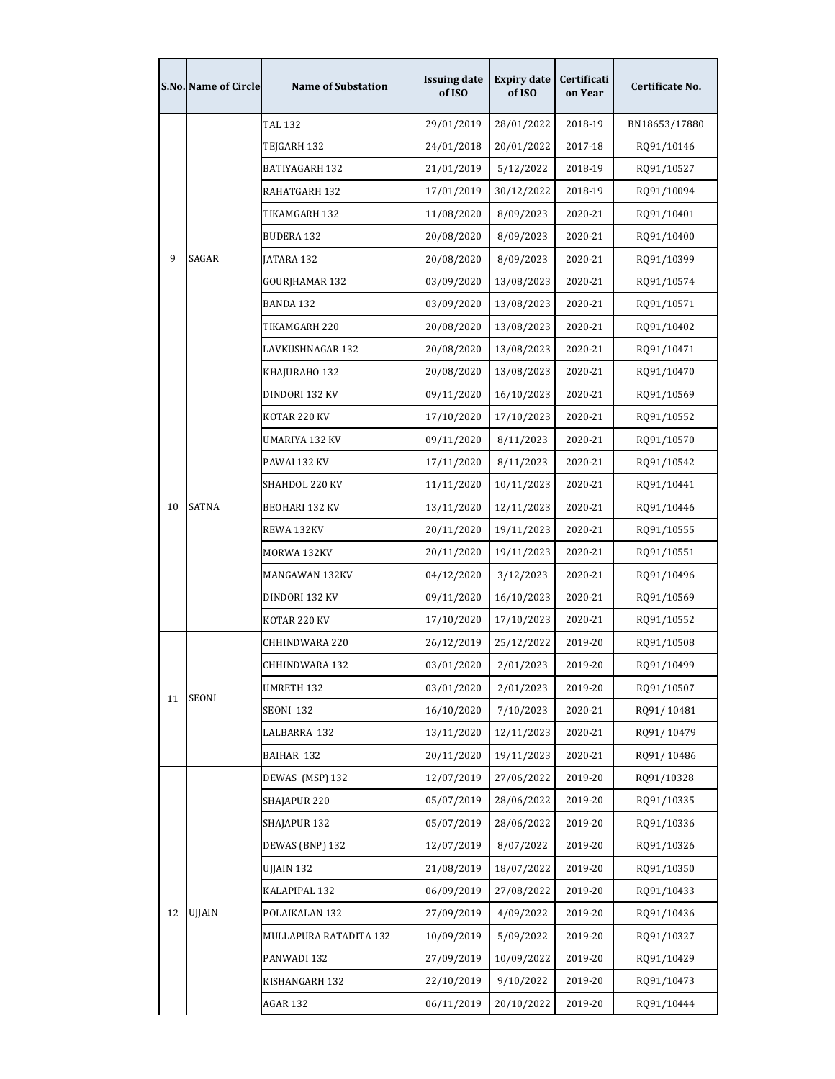|    | S.No. Name of Circle | <b>Name of Substation</b> | <b>Issuing date</b><br>of ISO | <b>Expiry date</b><br>of ISO | Certificati<br>on Year | Certificate No. |
|----|----------------------|---------------------------|-------------------------------|------------------------------|------------------------|-----------------|
|    |                      | TAL 132                   | 29/01/2019                    | 28/01/2022                   | 2018-19                | BN18653/17880   |
|    |                      | TEJGARH 132               | 24/01/2018                    | 20/01/2022                   | 2017-18                | RQ91/10146      |
|    |                      | BATIYAGARH 132            | 21/01/2019                    | 5/12/2022                    | 2018-19                | RQ91/10527      |
|    |                      | RAHATGARH 132             | 17/01/2019                    | 30/12/2022                   | 2018-19                | RQ91/10094      |
|    |                      | TIKAMGARH 132             | 11/08/2020                    | 8/09/2023                    | 2020-21                | RQ91/10401      |
|    |                      | <b>BUDERA 132</b>         | 20/08/2020                    | 8/09/2023                    | 2020-21                | RQ91/10400      |
| 9  | SAGAR                | JATARA 132                | 20/08/2020                    | 8/09/2023                    | 2020-21                | RQ91/10399      |
|    |                      | GOURJHAMAR 132            | 03/09/2020                    | 13/08/2023                   | 2020-21                | RQ91/10574      |
|    |                      | BANDA 132                 | 03/09/2020                    | 13/08/2023                   | 2020-21                | RQ91/10571      |
|    |                      | TIKAMGARH 220             | 20/08/2020                    | 13/08/2023                   | 2020-21                | RQ91/10402      |
|    |                      | LAVKUSHNAGAR 132          | 20/08/2020                    | 13/08/2023                   | 2020-21                | RQ91/10471      |
|    |                      | KHAJURAHO 132             | 20/08/2020                    | 13/08/2023                   | 2020-21                | RQ91/10470      |
|    |                      | DINDORI 132 KV            | 09/11/2020                    | 16/10/2023                   | 2020-21                | RQ91/10569      |
|    |                      | KOTAR 220 KV              | 17/10/2020                    | 17/10/2023                   | 2020-21                | RQ91/10552      |
|    |                      | UMARIYA 132 KV            | 09/11/2020                    | 8/11/2023                    | 2020-21                | RQ91/10570      |
|    |                      | PAWAI 132 KV              | 17/11/2020                    | 8/11/2023                    | 2020-21                | RQ91/10542      |
|    |                      | SHAHDOL 220 KV            | 11/11/2020                    | 10/11/2023                   | 2020-21                | RQ91/10441      |
| 10 | <b>SATNA</b>         | BEOHARI 132 KV            | 13/11/2020                    | 12/11/2023                   | 2020-21                | RQ91/10446      |
|    |                      | REWA 132KV                | 20/11/2020                    | 19/11/2023                   | 2020-21                | RQ91/10555      |
|    |                      | MORWA 132KV               | 20/11/2020                    | 19/11/2023                   | 2020-21                | RQ91/10551      |
|    |                      | MANGAWAN 132KV            | 04/12/2020                    | 3/12/2023                    | 2020-21                | RQ91/10496      |
|    |                      | DINDORI 132 KV            | 09/11/2020                    | 16/10/2023                   | 2020-21                | RQ91/10569      |
|    |                      | KOTAR 220 KV              | 17/10/2020                    | 17/10/2023                   | 2020-21                | RQ91/10552      |
|    |                      | CHHINDWARA 220            | 26/12/2019                    | 25/12/2022                   | 2019-20                | RQ91/10508      |
|    |                      | CHHINDWARA 132            | 03/01/2020                    | 2/01/2023                    | 2019-20                | RQ91/10499      |
| 11 | <b>SEONI</b>         | UMRETH 132                | 03/01/2020                    | 2/01/2023                    | 2019-20                | RQ91/10507      |
|    |                      | SEONI 132                 | 16/10/2020                    | 7/10/2023                    | 2020-21                | RQ91/10481      |
|    |                      | LALBARRA 132              | 13/11/2020                    | 12/11/2023                   | 2020-21                | RQ91/10479      |
|    |                      | BAIHAR 132                | 20/11/2020                    | 19/11/2023                   | 2020-21                | RQ91/10486      |
|    |                      | DEWAS (MSP) 132           | 12/07/2019                    | 27/06/2022                   | 2019-20                | RQ91/10328      |
|    |                      | SHAJAPUR 220              | 05/07/2019                    | 28/06/2022                   | 2019-20                | RQ91/10335      |
|    |                      | SHAJAPUR 132              | 05/07/2019                    | 28/06/2022                   | 2019-20                | RQ91/10336      |
|    |                      | DEWAS (BNP) 132           | 12/07/2019                    | 8/07/2022                    | 2019-20                | RQ91/10326      |
|    |                      | UJJAIN 132                | 21/08/2019                    | 18/07/2022                   | 2019-20                | RQ91/10350      |
|    |                      | KALAPIPAL 132             | 06/09/2019                    | 27/08/2022                   | 2019-20                | RQ91/10433      |
| 12 | UJJAIN               | POLAIKALAN 132            | 27/09/2019                    | 4/09/2022                    | 2019-20                | RQ91/10436      |
|    |                      | MULLAPURA RATADITA 132    | 10/09/2019                    | 5/09/2022                    | 2019-20                | RQ91/10327      |
|    |                      | PANWADI 132               | 27/09/2019                    | 10/09/2022                   | 2019-20                | RQ91/10429      |
|    |                      | KISHANGARH 132            | 22/10/2019                    | 9/10/2022                    | 2019-20                | RQ91/10473      |
|    |                      | <b>AGAR 132</b>           | 06/11/2019                    | 20/10/2022                   | 2019-20                | RQ91/10444      |